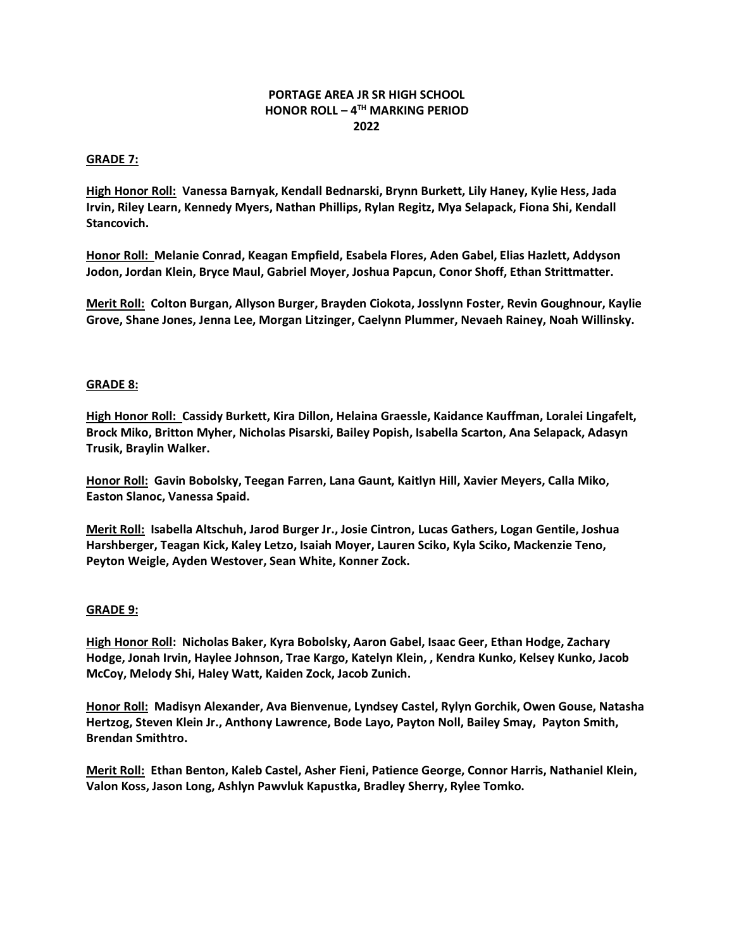# **PORTAGE AREA JR SR HIGH SCHOOL HONOR ROLL – 4 TH MARKING PERIOD 2022**

### **GRADE 7:**

**High Honor Roll: Vanessa Barnyak, Kendall Bednarski, Brynn Burkett, Lily Haney, Kylie Hess, Jada Irvin, Riley Learn, Kennedy Myers, Nathan Phillips, Rylan Regitz, Mya Selapack, Fiona Shi, Kendall Stancovich.**

**Honor Roll: Melanie Conrad, Keagan Empfield, Esabela Flores, Aden Gabel, Elias Hazlett, Addyson Jodon, Jordan Klein, Bryce Maul, Gabriel Moyer, Joshua Papcun, Conor Shoff, Ethan Strittmatter.**

**Merit Roll: Colton Burgan, Allyson Burger, Brayden Ciokota, Josslynn Foster, Revin Goughnour, Kaylie Grove, Shane Jones, Jenna Lee, Morgan Litzinger, Caelynn Plummer, Nevaeh Rainey, Noah Willinsky.** 

#### **GRADE 8:**

**High Honor Roll: Cassidy Burkett, Kira Dillon, Helaina Graessle, Kaidance Kauffman, Loralei Lingafelt, Brock Miko, Britton Myher, Nicholas Pisarski, Bailey Popish, Isabella Scarton, Ana Selapack, Adasyn Trusik, Braylin Walker.** 

**Honor Roll: Gavin Bobolsky, Teegan Farren, Lana Gaunt, Kaitlyn Hill, Xavier Meyers, Calla Miko, Easton Slanoc, Vanessa Spaid.**

**Merit Roll: Isabella Altschuh, Jarod Burger Jr., Josie Cintron, Lucas Gathers, Logan Gentile, Joshua Harshberger, Teagan Kick, Kaley Letzo, Isaiah Moyer, Lauren Sciko, Kyla Sciko, Mackenzie Teno, Peyton Weigle, Ayden Westover, Sean White, Konner Zock.** 

#### **GRADE 9:**

**High Honor Roll: Nicholas Baker, Kyra Bobolsky, Aaron Gabel, Isaac Geer, Ethan Hodge, Zachary Hodge, Jonah Irvin, Haylee Johnson, Trae Kargo, Katelyn Klein, , Kendra Kunko, Kelsey Kunko, Jacob McCoy, Melody Shi, Haley Watt, Kaiden Zock, Jacob Zunich.**

**Honor Roll: Madisyn Alexander, Ava Bienvenue, Lyndsey Castel, Rylyn Gorchik, Owen Gouse, Natasha Hertzog, Steven Klein Jr., Anthony Lawrence, Bode Layo, Payton Noll, Bailey Smay, Payton Smith, Brendan Smithtro.**

**Merit Roll: Ethan Benton, Kaleb Castel, Asher Fieni, Patience George, Connor Harris, Nathaniel Klein, Valon Koss, Jason Long, Ashlyn Pawvluk Kapustka, Bradley Sherry, Rylee Tomko.**